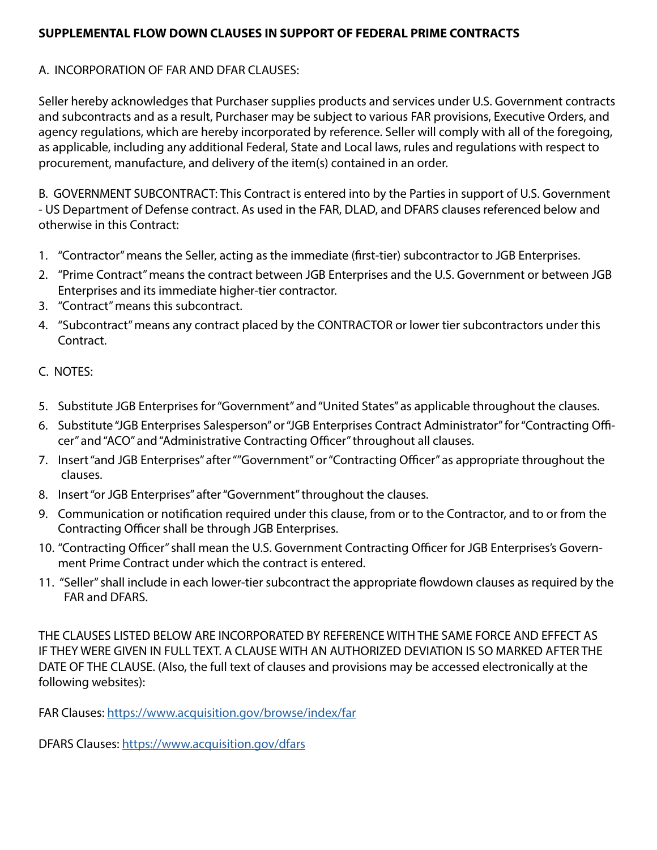# **SUPPLEMENTAL FLOW DOWN CLAUSES IN SUPPORT OF FEDERAL PRIME CONTRACTS**

# A. INCORPORATION OF FAR AND DFAR CLAUSES:

Seller hereby acknowledges that Purchaser supplies products and services under U.S. Government contracts and subcontracts and as a result, Purchaser may be subject to various FAR provisions, Executive Orders, and agency regulations, which are hereby incorporated by reference. Seller will comply with all of the foregoing, as applicable, including any additional Federal, State and Local laws, rules and regulations with respect to procurement, manufacture, and delivery of the item(s) contained in an order.

B. GOVERNMENT SUBCONTRACT: This Contract is entered into by the Parties in support of U.S. Government - US Department of Defense contract. As used in the FAR, DLAD, and DFARS clauses referenced below and otherwise in this Contract:

- 1. "Contractor" means the Seller, acting as the immediate (first-tier) subcontractor to JGB Enterprises.
- 2. "Prime Contract" means the contract between JGB Enterprises and the U.S. Government or between JGB Enterprises and its immediate higher-tier contractor.
- 3. "Contract" means this subcontract.
- 4. "Subcontract" means any contract placed by the CONTRACTOR or lower tier subcontractors under this Contract.

# C. NOTES:

- 5. Substitute JGB Enterprises for "Government" and "United States" as applicable throughout the clauses.
- 6. Substitute "JGB Enterprises Salesperson" or "JGB Enterprises Contract Administrator" for "Contracting Officer" and "ACO" and "Administrative Contracting Officer" throughout all clauses.
- 7. Insert "and JGB Enterprises" after ""Government" or "Contracting Officer" as appropriate throughout the clauses.
- 8. Insert "or JGB Enterprises" after "Government" throughout the clauses.
- 9. Communication or notification required under this clause, from or to the Contractor, and to or from the Contracting Officer shall be through JGB Enterprises.
- 10. "Contracting Officer" shall mean the U.S. Government Contracting Officer for JGB Enterprises's Government Prime Contract under which the contract is entered.
- 11. "Seller" shall include in each lower-tier subcontract the appropriate flowdown clauses as required by the FAR and DFARS.

THE CLAUSES LISTED BELOW ARE INCORPORATED BY REFERENCE WITH THE SAME FORCE AND EFFECT AS IF THEY WERE GIVEN IN FULL TEXT. A CLAUSE WITH AN AUTHORIZED DEVIATION IS SO MARKED AFTER THE DATE OF THE CLAUSE. (Also, the full text of clauses and provisions may be accessed electronically at the following websites):

FAR Clauses: [https://www.acquisition.gov/browse/index/far](https://www.acquisition.gov/browse/index/far )

DFARS Clauses: <https://www.acquisition.gov/dfars>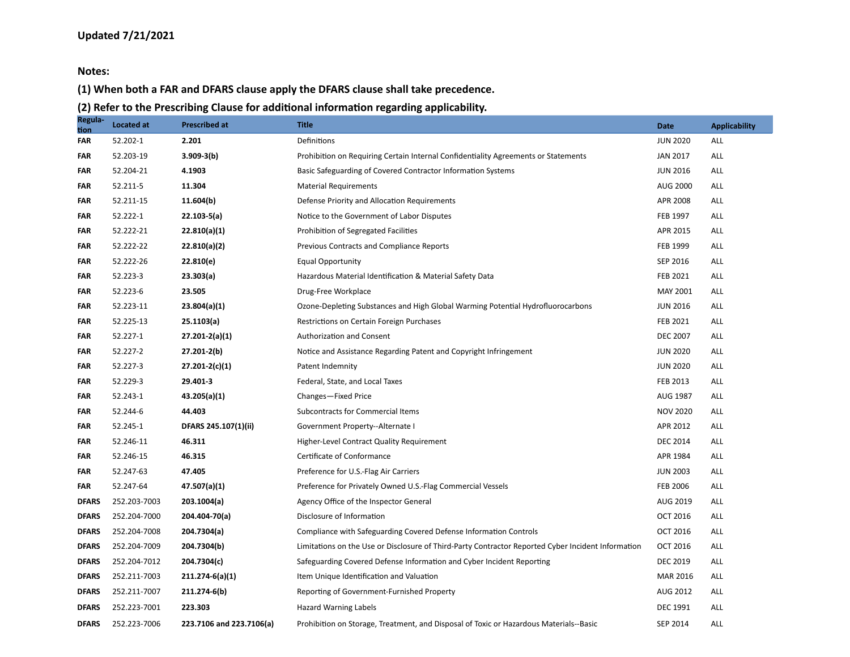**Notes:**

#### **(1) When both a FAR and DFARS clause apply the DFARS clause shall take precedence.**

**(2) Refer to the Prescribing Clause for additional information regarding applicability.**

| Regula-<br><u>tion</u> | <b>Located at</b> | <b>Prescribed at</b>     | <b>Title</b>                                                                                       | Date            | <b>Applicability</b> |
|------------------------|-------------------|--------------------------|----------------------------------------------------------------------------------------------------|-----------------|----------------------|
| FAR                    | 52.202-1          | 2.201                    | Definitions                                                                                        | <b>JUN 2020</b> | ALL                  |
| FAR                    | 52.203-19         | $3.909 - 3(b)$           | Prohibition on Requiring Certain Internal Confidentiality Agreements or Statements                 | <b>JAN 2017</b> | ALL                  |
| FAR                    | 52.204-21         | 4.1903                   | Basic Safeguarding of Covered Contractor Information Systems                                       | <b>JUN 2016</b> | ALL                  |
| FAR                    | 52.211-5          | 11.304                   | <b>Material Requirements</b>                                                                       | AUG 2000        | ALL                  |
| FAR                    | 52.211-15         | 11.604(b)                | Defense Priority and Allocation Requirements                                                       | APR 2008        | ALL                  |
| FAR                    | 52.222-1          | $22.103 - 5(a)$          | Notice to the Government of Labor Disputes                                                         | FEB 1997        | ALL                  |
| FAR                    | 52.222-21         | 22.810(a)(1)             | Prohibition of Segregated Facilities                                                               | APR 2015        | ALL                  |
| <b>FAR</b>             | 52.222-22         | 22.810(a)(2)             | Previous Contracts and Compliance Reports                                                          | FEB 1999        | ALL                  |
| <b>FAR</b>             | 52.222-26         | 22.810(e)                | <b>Equal Opportunity</b>                                                                           | SEP 2016        | ALL                  |
| FAR                    | 52.223-3          | 23.303(a)                | Hazardous Material Identification & Material Safety Data                                           | FEB 2021        | ALL                  |
| <b>FAR</b>             | 52.223-6          | 23.505                   | Drug-Free Workplace                                                                                | MAY 2001        | ALL                  |
| <b>FAR</b>             | 52.223-11         | 23.804(a)(1)             | Ozone-Depleting Substances and High Global Warming Potential Hydrofluorocarbons                    | <b>JUN 2016</b> | ALL                  |
| FAR                    | 52.225-13         | 25.1103(a)               | Restrictions on Certain Foreign Purchases                                                          | FEB 2021        | ALL                  |
| FAR                    | 52.227-1          | $27.201 - 2(a)(1)$       | Authorization and Consent                                                                          | <b>DEC 2007</b> | ALL                  |
| FAR                    | 52.227-2          | $27.201 - 2(b)$          | Notice and Assistance Regarding Patent and Copyright Infringement                                  | <b>JUN 2020</b> | ALL                  |
| <b>FAR</b>             | 52.227-3          | $27.201 - 2(c)(1)$       | Patent Indemnity                                                                                   | <b>JUN 2020</b> | ALL                  |
| <b>FAR</b>             | 52.229-3          | 29.401-3                 | Federal, State, and Local Taxes                                                                    | FEB 2013        | ALL                  |
| <b>FAR</b>             | 52.243-1          | 43.205(a)(1)             | Changes-Fixed Price                                                                                | AUG 1987        | ALL                  |
| <b>FAR</b>             | 52.244-6          | 44.403                   | Subcontracts for Commercial Items                                                                  | <b>NOV 2020</b> | ALL                  |
| FAR                    | 52.245-1          | DFARS 245.107(1)(ii)     | Government Property--Alternate I                                                                   | APR 2012        | ALL                  |
| FAR                    | 52.246-11         | 46.311                   | Higher-Level Contract Quality Requirement                                                          | <b>DEC 2014</b> | ALL                  |
| FAR                    | 52.246-15         | 46.315                   | Certificate of Conformance                                                                         | APR 1984        | ALL                  |
| FAR                    | 52.247-63         | 47.405                   | Preference for U.S.-Flag Air Carriers                                                              | <b>JUN 2003</b> | ALL                  |
| FAR                    | 52.247-64         | 47.507(a)(1)             | Preference for Privately Owned U.S.-Flag Commercial Vessels                                        | <b>FEB 2006</b> | ALL                  |
| <b>DFARS</b>           | 252.203-7003      | 203.1004(a)              | Agency Office of the Inspector General                                                             | AUG 2019        | ALL                  |
| <b>DFARS</b>           | 252.204-7000      | 204.404-70(a)            | Disclosure of Information                                                                          | <b>OCT 2016</b> | ALL                  |
| <b>DFARS</b>           | 252.204-7008      | 204.7304(a)              | Compliance with Safeguarding Covered Defense Information Controls                                  | <b>OCT 2016</b> | ALL                  |
| <b>DFARS</b>           | 252.204-7009      | 204.7304(b)              | Limitations on the Use or Disclosure of Third-Party Contractor Reported Cyber Incident Information | <b>OCT 2016</b> | ALL                  |
| <b>DFARS</b>           | 252.204-7012      | 204.7304(c)              | Safeguarding Covered Defense Information and Cyber Incident Reporting                              | <b>DEC 2019</b> | ALL                  |
| <b>DFARS</b>           | 252.211-7003      | 211.274-6(a)(1)          | Item Unique Identification and Valuation                                                           | MAR 2016        | ALL                  |
| <b>DFARS</b>           | 252.211-7007      | 211.274-6(b)             | Reporting of Government-Furnished Property                                                         | AUG 2012        | ALL                  |
| <b>DFARS</b>           | 252.223-7001      | 223.303                  | <b>Hazard Warning Labels</b>                                                                       | <b>DEC 1991</b> | <b>ALL</b>           |
| <b>DFARS</b>           | 252.223-7006      | 223.7106 and 223.7106(a) | Prohibition on Storage, Treatment, and Disposal of Toxic or Hazardous Materials--Basic             | SEP 2014        | ALL                  |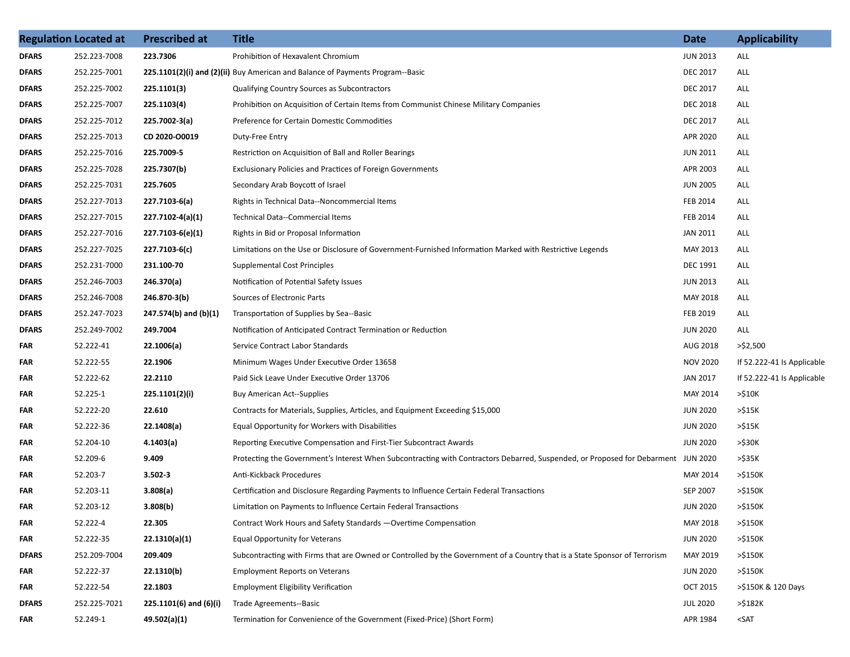|              | <b>Regulation Located at</b> | <b>Prescribed at</b>       | <b>Title</b>                                                                                                                      | <b>Date</b>     | <b>Applicability</b>       |
|--------------|------------------------------|----------------------------|-----------------------------------------------------------------------------------------------------------------------------------|-----------------|----------------------------|
| <b>DFARS</b> | 252.223-7008                 | 223.7306                   | Prohibition of Hexavalent Chromium                                                                                                | <b>JUN 2013</b> | ALL                        |
| DFARS        | 252.225-7001                 |                            | 225.1101(2)(i) and (2)(ii) Buy American and Balance of Payments Program--Basic                                                    | <b>DEC 2017</b> | ALL                        |
| DFARS        | 252.225-7002                 | 225.1101(3)                | Qualifying Country Sources as Subcontractors                                                                                      | <b>DEC 2017</b> | ALL                        |
| DFARS        | 252.225-7007                 | 225.1103(4)                | Prohibition on Acquisition of Certain Items from Communist Chinese Military Companies                                             | <b>DEC 2018</b> | ALL                        |
| DFARS        | 252.225-7012                 | 225.7002-3(a)              | Preference for Certain Domestic Commodities                                                                                       | <b>DEC 2017</b> | ALL                        |
| DFARS        | 252.225-7013                 | CD 2020-00019              | Duty-Free Entry                                                                                                                   | APR 2020        | ALL                        |
| DFARS        | 252.225-7016                 | 225.7009-5                 | Restriction on Acquisition of Ball and Roller Bearings                                                                            | <b>JUN 2011</b> | ALL                        |
| DFARS        | 252.225-7028                 | 225.7307(b)                | <b>Exclusionary Policies and Practices of Foreign Governments</b>                                                                 | APR 2003        | ALL                        |
| DFARS        | 252.225-7031                 | 225.7605                   | Secondary Arab Boycott of Israel                                                                                                  | <b>JUN 2005</b> | ALL                        |
| DFARS        | 252.227-7013                 | 227.7103-6(a)              | Rights in Technical Data--Noncommercial Items                                                                                     | FEB 2014        | <b>ALL</b>                 |
| DFARS        | 252.227-7015                 | 227.7102-4(a)(1)           | Technical Data--Commercial Items                                                                                                  | FEB 2014        | ALL                        |
| DFARS        | 252.227-7016                 | 227.7103-6(e)(1)           | Rights in Bid or Proposal Information                                                                                             | JAN 2011        | ALL                        |
| <b>DFARS</b> | 252.227-7025                 | 227.7103-6(c)              | Limitations on the Use or Disclosure of Government-Furnished Information Marked with Restrictive Legends                          | MAY 2013        | ALL                        |
| DFARS        | 252.231-7000                 | 231.100-70                 | <b>Supplemental Cost Principles</b>                                                                                               | <b>DEC 1991</b> | ALL                        |
| DFARS        | 252.246-7003                 | 246.370(a)                 | Notification of Potential Safety Issues                                                                                           | <b>JUN 2013</b> | ALL                        |
| DFARS        | 252.246-7008                 | 246.870-3(b)               | Sources of Electronic Parts                                                                                                       | MAY 2018        | <b>ALL</b>                 |
| DFARS        | 252.247-7023                 | 247.574(b) and (b)(1)      | Transportation of Supplies by Sea--Basic                                                                                          | FEB 2019        | ALL                        |
| DFARS        | 252.249-7002                 | 249.7004                   | Notification of Anticipated Contract Termination or Reduction                                                                     | <b>JUN 2020</b> | ALL                        |
| FAR          | 52.222-41                    | 22.1006(a)                 | Service Contract Labor Standards                                                                                                  | AUG 2018        | $>$ \$2,500                |
| FAR          | 52.222-55                    | 22.1906                    | Minimum Wages Under Executive Order 13658                                                                                         | <b>NOV 2020</b> | If 52.222-41 Is Applicable |
| FAR          | 52.222-62                    | 22.2110                    | Paid Sick Leave Under Executive Order 13706                                                                                       | JAN 2017        | If 52.222-41 Is Applicable |
| FAR          | 52.225-1                     | 225.1101(2)(i)             | <b>Buy American Act--Supplies</b>                                                                                                 | MAY 2014        | >\$10K                     |
| FAR          | 52.222-20                    | 22.610                     | Contracts for Materials, Supplies, Articles, and Equipment Exceeding \$15,000                                                     | <b>JUN 2020</b> | >\$15K                     |
| FAR          | 52.222-36                    | 22.1408(a)                 | Equal Opportunity for Workers with Disabilities                                                                                   | <b>JUN 2020</b> | >\$15K                     |
| FAR          | 52.204-10                    | 4.1403(a)                  | Reporting Executive Compensation and First-Tier Subcontract Awards                                                                | <b>JUN 2020</b> | >\$30K                     |
| FAR          | 52.209-6                     | 9.409                      | Protecting the Government's Interest When Subcontracting with Contractors Debarred, Suspended, or Proposed for Debarment JUN 2020 |                 | >\$35K                     |
| FAR          | 52.203-7                     | $3.502 - 3$                | Anti-Kickback Procedures                                                                                                          | MAY 2014        | >\$150K                    |
| FAR          | 52.203-11                    | 3.808(a)                   | Certification and Disclosure Regarding Payments to Influence Certain Federal Transactions                                         | SEP 2007        | >\$150K                    |
| FAR          | 52.203-12                    | 3.808(b)                   | Limitation on Payments to Influence Certain Federal Transactions                                                                  | <b>JUN 2020</b> | >\$150K                    |
| FAR          | 52.222-4                     | 22.305                     | Contract Work Hours and Safety Standards - Overtime Compensation                                                                  | MAY 2018        | >\$150K                    |
| FAR          | 52.222-35                    | 22.1310(a)(1)              | <b>Equal Opportunity for Veterans</b>                                                                                             | <b>JUN 2020</b> | >\$150K                    |
| <b>DFARS</b> | 252.209-7004                 | 209.409                    | Subcontracting with Firms that are Owned or Controlled by the Government of a Country that is a State Sponsor of Terrorism        | MAY 2019        | >\$150K                    |
| FAR          | 52.222-37                    | 22.1310(b)                 | <b>Employment Reports on Veterans</b>                                                                                             | <b>JUN 2020</b> | >\$150K                    |
| FAR          | 52.222-54                    | 22.1803                    | <b>Employment Eligibility Verification</b>                                                                                        | <b>OCT 2015</b> | >\$150K & 120 Days         |
| <b>DFARS</b> | 252.225-7021                 | $225.1101(6)$ and $(6)(i)$ | Trade Agreements--Basic                                                                                                           | <b>JUL 2020</b> | >\$182K                    |
| FAR          | 52.249-1                     | 49.502(a)(1)               | Termination for Convenience of the Government (Fixed-Price) (Short Form)                                                          | APR 1984        | $<$ SAT                    |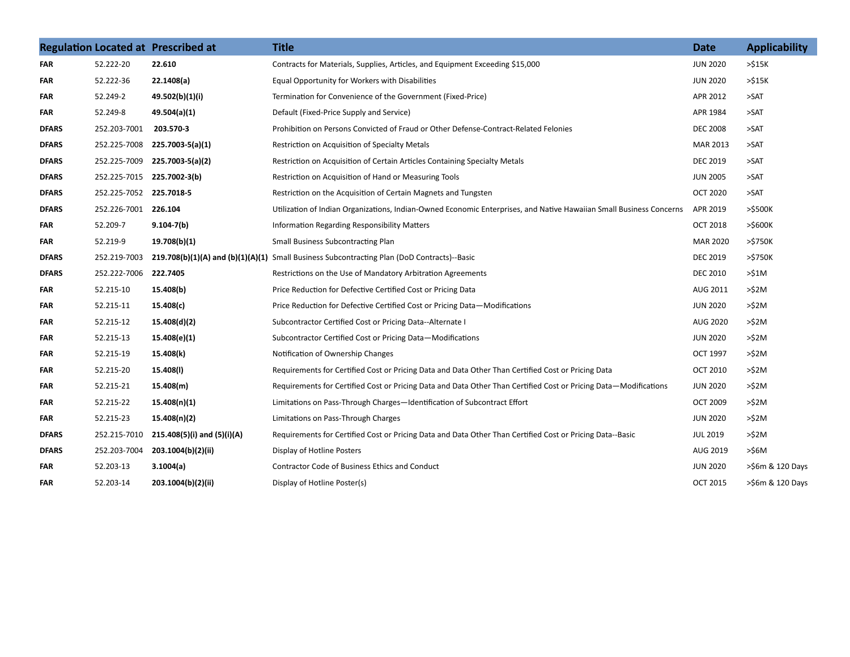|              |                       | <b>Regulation Located at Prescribed at</b> | <b>Title</b>                                                                                                        | <b>Date</b>     | <b>Applicability</b> |
|--------------|-----------------------|--------------------------------------------|---------------------------------------------------------------------------------------------------------------------|-----------------|----------------------|
| FAR          | 52.222-20             | 22.610                                     | Contracts for Materials, Supplies, Articles, and Equipment Exceeding \$15,000                                       | <b>JUN 2020</b> | >515K                |
| FAR          | 52.222-36             | 22.1408(a)                                 | Equal Opportunity for Workers with Disabilities                                                                     | <b>JUN 2020</b> | >515K                |
| FAR          | 52.249-2              | 49.502(b)(1)(i)                            | Termination for Convenience of the Government (Fixed-Price)                                                         | APR 2012        | >SAT                 |
| FAR          | 52.249-8              | 49.504(a)(1)                               | Default (Fixed-Price Supply and Service)                                                                            | APR 1984        | $>$ SAT              |
| <b>DFARS</b> | 252.203-7001          | 203.570-3                                  | Prohibition on Persons Convicted of Fraud or Other Defense-Contract-Related Felonies                                | <b>DEC 2008</b> | $>$ SAT              |
| <b>DFARS</b> | 252.225-7008          | 225.7003-5(a)(1)                           | Restriction on Acquisition of Specialty Metals                                                                      | MAR 2013        | $>$ SAT              |
| <b>DFARS</b> | 252.225-7009          | 225.7003-5(a)(2)                           | Restriction on Acquisition of Certain Articles Containing Specialty Metals                                          | <b>DEC 2019</b> | $>$ SAT              |
| <b>DFARS</b> | 252.225-7015          | 225.7002-3(b)                              | Restriction on Acquisition of Hand or Measuring Tools                                                               | <b>JUN 2005</b> | $>$ SAT              |
| <b>DFARS</b> | 252.225-7052          | 225.7018-5                                 | Restriction on the Acquisition of Certain Magnets and Tungsten                                                      | <b>OCT 2020</b> | $>$ SAT              |
| <b>DFARS</b> | 252.226-7001 226.104  |                                            | Utilization of Indian Organizations, Indian-Owned Economic Enterprises, and Native Hawaiian Small Business Concerns | APR 2019        | $>$ \$500K           |
| FAR          | 52.209-7              | $9.104 - 7(b)$                             | <b>Information Regarding Responsibility Matters</b>                                                                 | <b>OCT 2018</b> | $>$ \$600 $K$        |
| FAR          | 52.219-9              | 19.708(b)(1)                               | Small Business Subcontracting Plan                                                                                  | MAR 2020        | >\$750K              |
| <b>DFARS</b> | 252.219-7003          |                                            | 219.708(b)(1)(A) and (b)(1)(A)(1) Small Business Subcontracting Plan (DoD Contracts)--Basic                         | <b>DEC 2019</b> | >\$750K              |
| <b>DFARS</b> | 252.222-7006 222.7405 |                                            | Restrictions on the Use of Mandatory Arbitration Agreements                                                         | <b>DEC 2010</b> | >51M                 |
| <b>FAR</b>   | 52.215-10             | 15.408(b)                                  | Price Reduction for Defective Certified Cost or Pricing Data                                                        | AUG 2011        | >52M                 |
| FAR          | 52.215-11             | 15.408(c)                                  | Price Reduction for Defective Certified Cost or Pricing Data—Modifications                                          | <b>JUN 2020</b> | >52M                 |
| FAR          | 52.215-12             | 15.408(d)(2)                               | Subcontractor Certified Cost or Pricing Data--Alternate I                                                           | AUG 2020        | >52M                 |
| FAR          | 52.215-13             | 15.408(e)(1)                               | Subcontractor Certified Cost or Pricing Data-Modifications                                                          | <b>JUN 2020</b> | >\$2M                |
| FAR          | 52.215-19             | 15.408(k)                                  | Notification of Ownership Changes                                                                                   | OCT 1997        | >52M                 |
| FAR          | 52.215-20             | 15.408(I)                                  | Requirements for Certified Cost or Pricing Data and Data Other Than Certified Cost or Pricing Data                  | <b>OCT 2010</b> | >\$2M                |
| FAR          | 52.215-21             | 15.408(m)                                  | Requirements for Certified Cost or Pricing Data and Data Other Than Certified Cost or Pricing Data-Modifications    | <b>JUN 2020</b> | >52M                 |
| FAR          | 52.215-22             | 15.408(n)(1)                               | Limitations on Pass-Through Charges-Identification of Subcontract Effort                                            | <b>OCT 2009</b> | >52M                 |
| <b>FAR</b>   | 52.215-23             | 15.408(n)(2)                               | Limitations on Pass-Through Charges                                                                                 | <b>JUN 2020</b> | >52M                 |
| <b>DFARS</b> | 252.215-7010          | 215.408(5)(i) and (5)(i)(A)                | Requirements for Certified Cost or Pricing Data and Data Other Than Certified Cost or Pricing Data--Basic           | <b>JUL 2019</b> | >\$2M                |
| <b>DFARS</b> | 252.203-7004          | 203.1004(b)(2)(ii)                         | Display of Hotline Posters                                                                                          | AUG 2019        | $>$ \$6M             |
| FAR          | 52.203-13             | 3.1004(a)                                  | <b>Contractor Code of Business Ethics and Conduct</b>                                                               | <b>JUN 2020</b> | >\$6m & 120 Days     |
| FAR          | 52.203-14             | 203.1004(b)(2)(ii)                         | Display of Hotline Poster(s)                                                                                        | <b>OCT 2015</b> | >\$6m & 120 Days     |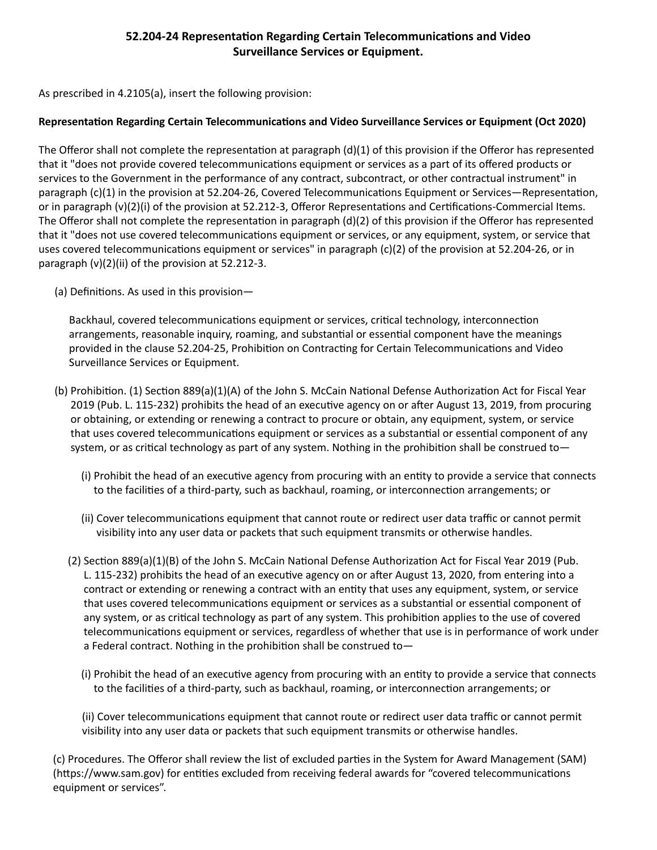## **52.204-24 Representation Regarding Certain Telecommunications and Video Surveillance Services or Equipment.**

As prescribed in 4.2105(a), insert the following provision:

### **Representation Regarding Certain Telecommunications and Video Surveillance Services or Equipment (Oct 2020)**

The Offeror shall not complete the representation at paragraph (d)(1) of this provision if the Offeror has represented that it "does not provide covered telecommunications equipment or services as a part of its offered products or services to the Government in the performance of any contract, subcontract, or other contractual instrument" in paragraph (c)(1) in the provision at 52.204-26, Covered Telecommunications Equipment or Services—Representation, or in paragraph (v)(2)(i) of the provision at 52.212-3, Offeror Representations and Certifications-Commercial Items. The Offeror shall not complete the representation in paragraph (d)(2) of this provision if the Offeror has represented that it "does not use covered telecommunications equipment or services, or any equipment, system, or service that uses covered telecommunications equipment or services" in paragraph (c)(2) of the provision at 52.204-26, or in paragraph (v)(2)(ii) of the provision at 52.212-3.

(a) Definitions. As used in this provision—

 Backhaul, covered telecommunications equipment or services, critical technology, interconnection arrangements, reasonable inquiry, roaming, and substantial or essential component have the meanings provided in the clause 52.204-25, Prohibition on Contracting for Certain Telecommunications and Video Surveillance Services or Equipment.

- (b) Prohibition. (1) Section 889(a)(1)(A) of the John S. McCain National Defense Authorization Act for Fiscal Year 2019 (Pub. L. 115-232) prohibits the head of an executive agency on or after August 13, 2019, from procuring or obtaining, or extending or renewing a contract to procure or obtain, any equipment, system, or service that uses covered telecommunications equipment or services as a substantial or essential component of any system, or as critical technology as part of any system. Nothing in the prohibition shall be construed to—
	- (i) Prohibit the head of an executive agency from procuring with an entity to provide a service that connects to the facilities of a third-party, such as backhaul, roaming, or interconnection arrangements; or
	- (ii) Cover telecommunications equipment that cannot route or redirect user data traffic or cannot permit visibility into any user data or packets that such equipment transmits or otherwise handles.
	- (2) Section 889(a)(1)(B) of the John S. McCain National Defense Authorization Act for Fiscal Year 2019 (Pub. L. 115-232) prohibits the head of an executive agency on or after August 13, 2020, from entering into a contract or extending or renewing a contract with an entity that uses any equipment, system, or service that uses covered telecommunications equipment or services as a substantial or essential component of any system, or as critical technology as part of any system. This prohibition applies to the use of covered telecommunications equipment or services, regardless of whether that use is in performance of work under a Federal contract. Nothing in the prohibition shall be construed to—
		- (i) Prohibit the head of an executive agency from procuring with an entity to provide a service that connects to the facilities of a third-party, such as backhaul, roaming, or interconnection arrangements; or

(ii) Cover telecommunications equipment that cannot route or redirect user data traffic or cannot permit visibility into any user data or packets that such equipment transmits or otherwise handles.

(c) Procedures. The Offeror shall review the list of excluded parties in the System for Award Management (SAM) (https://www.sam.gov) for entities excluded from receiving federal awards for "covered telecommunications equipment or services".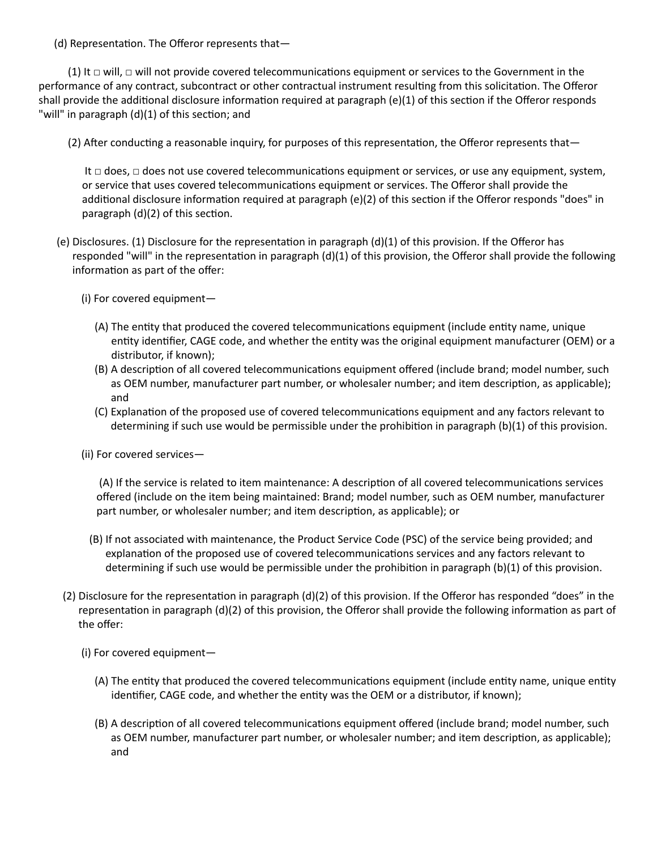(d) Representation. The Offeror represents that—

(1) It  $\Box$  will,  $\Box$  will not provide covered telecommunications equipment or services to the Government in the performance of any contract, subcontract or other contractual instrument resulting from this solicitation. The Offeror shall provide the additional disclosure information required at paragraph (e)(1) of this section if the Offeror responds "will" in paragraph (d)(1) of this section; and

(2) After conducting a reasonable inquiry, for purposes of this representation, the Offeror represents that—

 It □ does, □ does not use covered telecommunications equipment or services, or use any equipment, system, or service that uses covered telecommunications equipment or services. The Offeror shall provide the additional disclosure information required at paragraph (e)(2) of this section if the Offeror responds "does" in paragraph (d)(2) of this section.

- (e) Disclosures. (1) Disclosure for the representation in paragraph (d)(1) of this provision. If the Offeror has responded "will" in the representation in paragraph (d)(1) of this provision, the Offeror shall provide the following information as part of the offer:
	- (i) For covered equipment—
		- (A) The entity that produced the covered telecommunications equipment (include entity name, unique entity identifier, CAGE code, and whether the entity was the original equipment manufacturer (OEM) or a distributor, if known);
		- (B) A description of all covered telecommunications equipment offered (include brand; model number, such as OEM number, manufacturer part number, or wholesaler number; and item description, as applicable); and
		- (C) Explanation of the proposed use of covered telecommunications equipment and any factors relevant to determining if such use would be permissible under the prohibition in paragraph (b)(1) of this provision.
	- (ii) For covered services—

 (A) If the service is related to item maintenance: A description of all covered telecommunications services offered (include on the item being maintained: Brand; model number, such as OEM number, manufacturer part number, or wholesaler number; and item description, as applicable); or

- (B) If not associated with maintenance, the Product Service Code (PSC) of the service being provided; and explanation of the proposed use of covered telecommunications services and any factors relevant to determining if such use would be permissible under the prohibition in paragraph (b)(1) of this provision.
- (2) Disclosure for the representation in paragraph (d)(2) of this provision. If the Offeror has responded "does" in the representation in paragraph (d)(2) of this provision, the Offeror shall provide the following information as part of the offer:
	- (i) For covered equipment—
		- (A) The entity that produced the covered telecommunications equipment (include entity name, unique entity identifier, CAGE code, and whether the entity was the OEM or a distributor, if known);
		- (B) A description of all covered telecommunications equipment offered (include brand; model number, such as OEM number, manufacturer part number, or wholesaler number; and item description, as applicable); and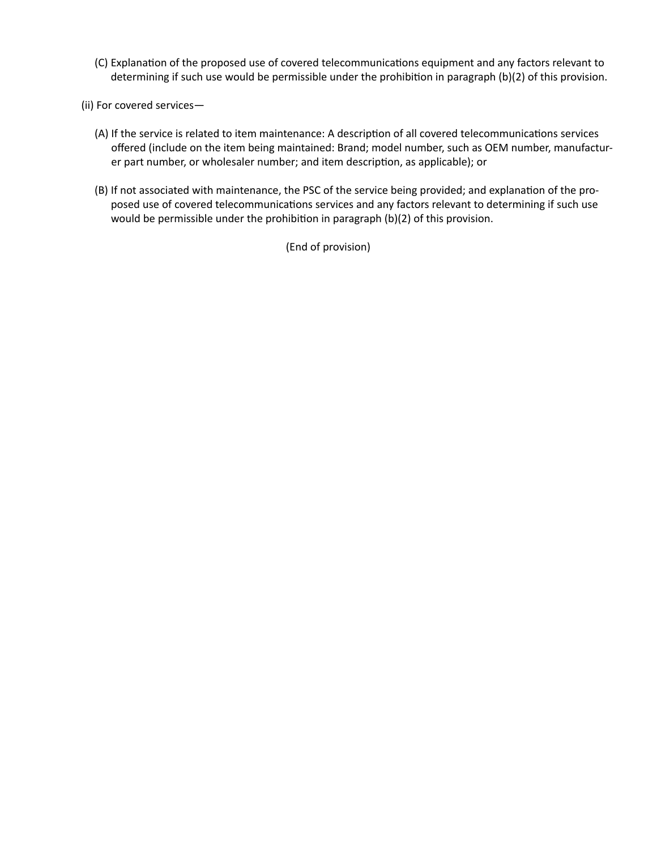- (C) Explanation of the proposed use of covered telecommunications equipment and any factors relevant to determining if such use would be permissible under the prohibition in paragraph (b)(2) of this provision.
- (ii) For covered services—
	- (A) If the service is related to item maintenance: A description of all covered telecommunications services offered (include on the item being maintained: Brand; model number, such as OEM number, manufacturer part number, or wholesaler number; and item description, as applicable); or
	- (B) If not associated with maintenance, the PSC of the service being provided; and explanation of the proposed use of covered telecommunications services and any factors relevant to determining if such use would be permissible under the prohibition in paragraph (b)(2) of this provision.

(End of provision)